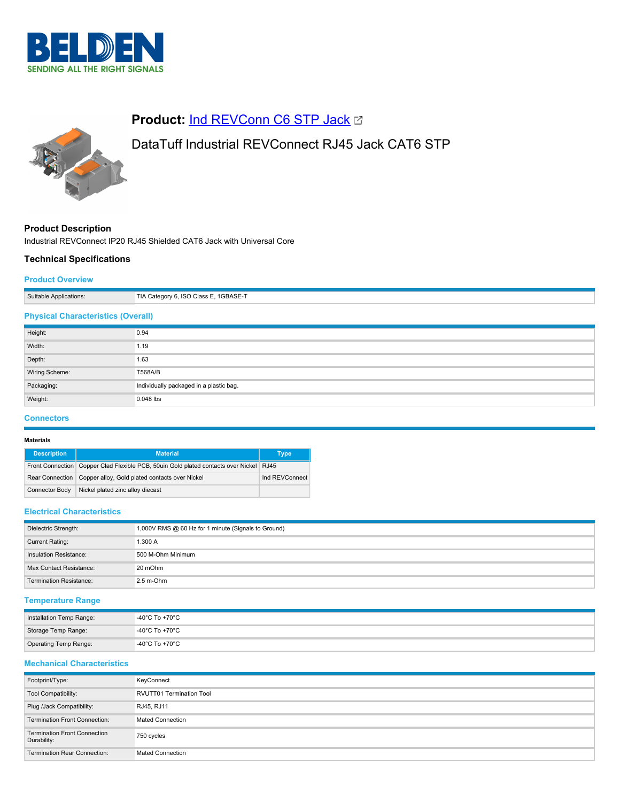



# **Product: [Ind REVConn C6 STP Jack](https://catalog.belden.com/index.cfm?event=pd&p=PF_IndREVConnC6STPJack&tab=downloads) &**

# DataTuff Industrial REVConnect RJ45 Jack CAT6 STP

# **Product Description**

Industrial REVConnect IP20 RJ45 Shielded CAT6 Jack with Universal Core

## **Technical Specifications**

## **Product Overview**

| Suitable Applications:                    | TIA Category 6, ISO Class E, 1GBASE-T   |  |
|-------------------------------------------|-----------------------------------------|--|
| <b>Physical Characteristics (Overall)</b> |                                         |  |
| Height:                                   | 0.94                                    |  |
| Width:                                    | 1.19                                    |  |
| Depth:                                    | 1.63                                    |  |
| Wiring Scheme:                            | T568A/B                                 |  |
| Packaging:                                | Individually packaged in a plastic bag. |  |
| Weight:                                   | $0.048$ lbs                             |  |

#### **Connectors**

#### **Materials**

| <b>Description</b>    | <b>Material</b>                                                                        | Type           |
|-----------------------|----------------------------------------------------------------------------------------|----------------|
|                       | Front Connection Copper Clad Flexible PCB, 50uin Gold plated contacts over Nickel RJ45 |                |
|                       | Rear Connection   Copper alloy, Gold plated contacts over Nickel                       | Ind REVConnect |
| <b>Connector Body</b> | Nickel plated zinc alloy diecast                                                       |                |

### **Electrical Characteristics**

| Dielectric Strength:           | 1,000V RMS @ 60 Hz for 1 minute (Signals to Ground) |
|--------------------------------|-----------------------------------------------------|
| Current Rating:                | 1.300 A                                             |
| Insulation Resistance:         | 500 M-Ohm Minimum                                   |
| Max Contact Resistance:        | 20 mOhm                                             |
| <b>Termination Resistance:</b> | $2.5 m$ -Ohm                                        |

## **Temperature Range**

| Installation Temp Range: | -40°C To +70°C |
|--------------------------|----------------|
| Storage Temp Range:      | -40°C To +70°C |
| Operating Temp Range:    | -40°C To +70°C |

## **Mechanical Characteristics**

| Footprint/Type:                                    | KeyConnect                      |
|----------------------------------------------------|---------------------------------|
| Tool Compatibility:                                | <b>RVUTT01 Termination Tool</b> |
| Plug /Jack Compatibility:                          | RJ45, RJ11                      |
| <b>Termination Front Connection:</b>               | <b>Mated Connection</b>         |
| <b>Termination Front Connection</b><br>Durability: | 750 cycles                      |
| <b>Termination Rear Connection:</b>                | <b>Mated Connection</b>         |